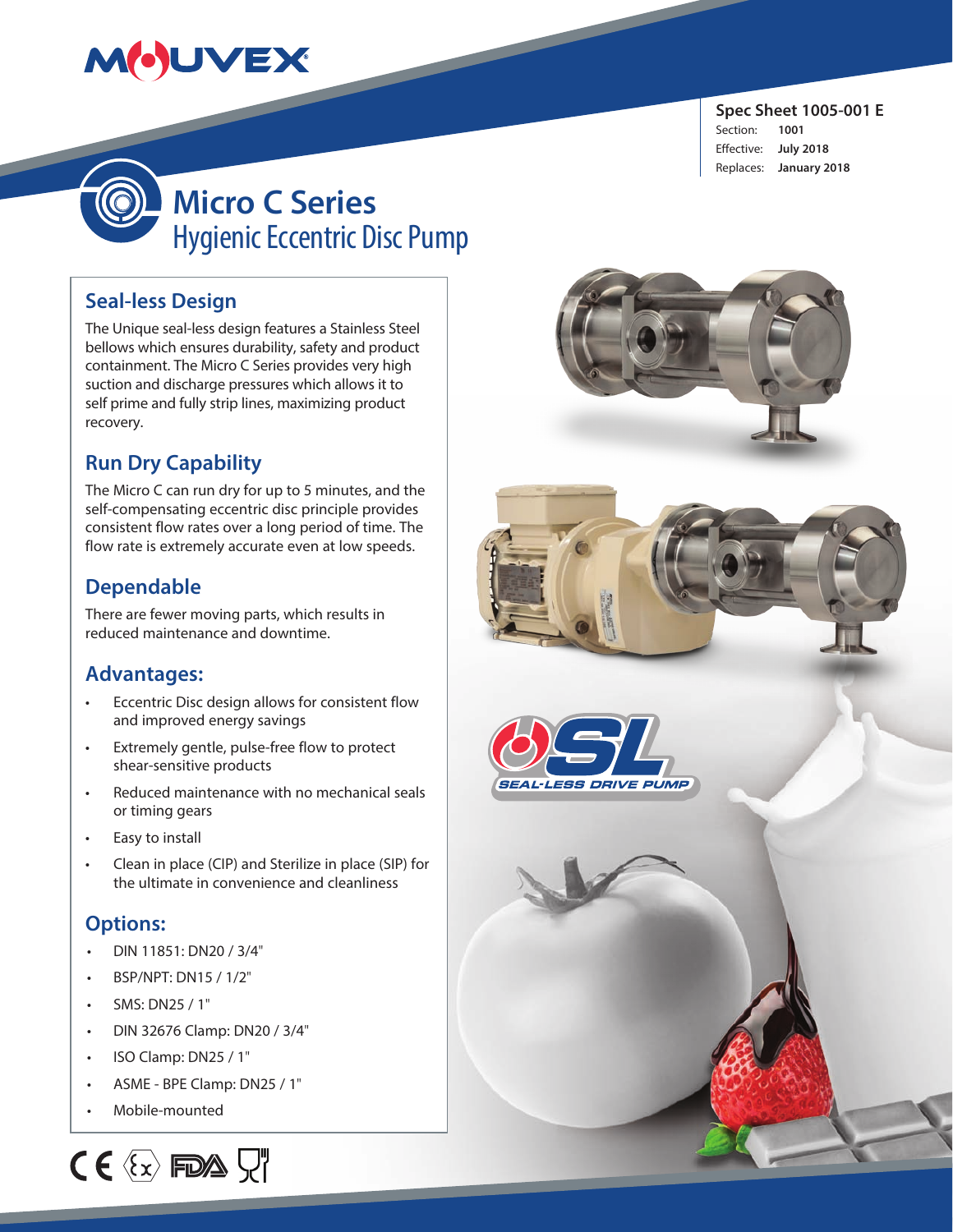# MOUVEX

**Spec Sheet 1005-001 E**  Section: **1001** Effective: **July 2018** Replaces: **January 2018**



**Micro C Series** Hygienic Eccentric Disc Pump

### **Seal-less Design**

The Unique seal-less design features a Stainless Steel bellows which ensures durability, safety and product containment. The Micro C Series provides very high suction and discharge pressures which allows it to self prime and fully strip lines, maximizing product recovery.

### **Run Dry Capability**

The Micro C can run dry for up to 5 minutes, and the self-compensating eccentric disc principle provides consistent flow rates over a long period of time. The flow rate is extremely accurate even at low speeds.

### **Dependable**

There are fewer moving parts, which results in reduced maintenance and downtime.

### **Advantages:**

- Eccentric Disc design allows for consistent flow and improved energy savings
- Extremely gentle, pulse-free flow to protect shear-sensitive products
- Reduced maintenance with no mechanical seals or timing gears
- Easy to install
- Clean in place (CIP) and Sterilize in place (SIP) for the ultimate in convenience and cleanliness

### **Options:**

- DIN 11851: DN20 / 3/4"
- BSP/NPT: DN15 / 1/2"
- SMS: DN25 / 1"
- DIN 32676 Clamp: DN20 / 3/4"
- ISO Clamp: DN25 / 1"
- ASME BPE Clamp: DN25 / 1"
- Mobile-mounted





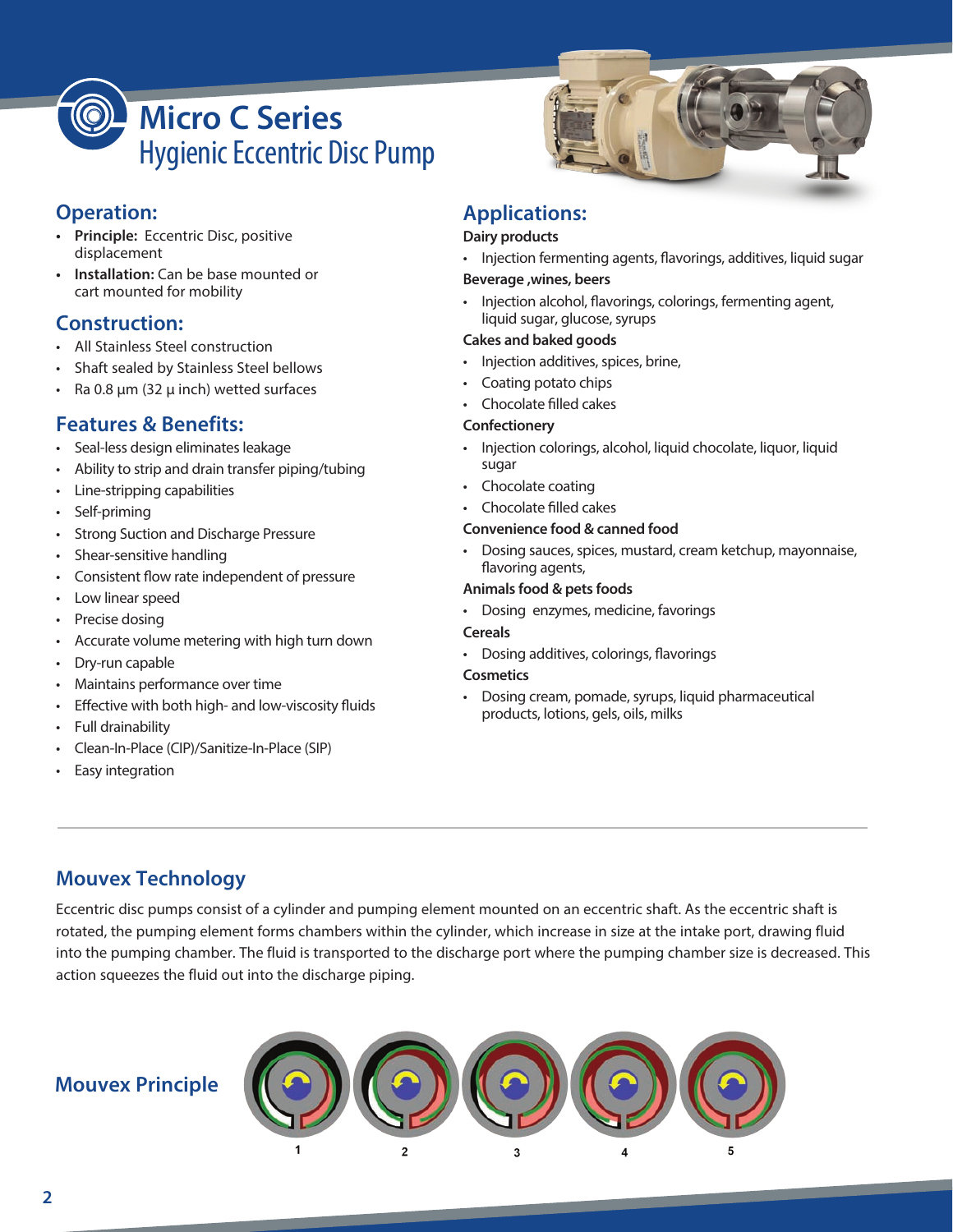

### **Operation:**

- **• Principle:** Eccentric Disc, positive displacement
- **• Installation:** Can be base mounted or cart mounted for mobility

### **Construction:**

- All Stainless Steel construction
- Shaft sealed by Stainless Steel bellows
- Ra 0.8 μm (32 μ inch) wetted surfaces

### **Features & Benefits:**

- Seal-less design eliminates leakage
- Ability to strip and drain transfer piping/tubing
- Line-stripping capabilities
- Self-priming
- Strong Suction and Discharge Pressure
- Shear-sensitive handling
- Consistent flow rate independent of pressure
- Low linear speed
- Precise dosing
- Accurate volume metering with high turn down
- Dry-run capable
- Maintains performance over time
- Effective with both high- and low-viscosity fluids
- Full drainability
- Clean-In-Place (CIP)/Sanitize-In-Place (SIP)
- Easy integration



### **Applications:**

#### **Dairy products**

• Injection fermenting agents, flavorings, additives, liquid sugar

#### **Beverage ,wines, beers**

• Injection alcohol, flavorings, colorings, fermenting agent, liquid sugar, glucose, syrups

#### **Cakes and baked goods**

- Injection additives, spices, brine,
- Coating potato chips
- Chocolate filled cakes

#### **Confectionery**

- Injection colorings, alcohol, liquid chocolate, liquor, liquid sugar
- Chocolate coating
- Chocolate filled cakes

#### **Convenience food & canned food**

• Dosing sauces, spices, mustard, cream ketchup, mayonnaise, flavoring agents,

#### **Animals food & pets foods**

• Dosing enzymes, medicine, favorings

#### **Cereals**

• Dosing additives, colorings, flavorings

#### **Cosmetics**

• Dosing cream, pomade, syrups, liquid pharmaceutical products, lotions, gels, oils, milks

### **Mouvex Technology**

Eccentric disc pumps consist of a cylinder and pumping element mounted on an eccentric shaft. As the eccentric shaft is rotated, the pumping element forms chambers within the cylinder, which increase in size at the intake port, drawing fluid into the pumping chamber. The fluid is transported to the discharge port where the pumping chamber size is decreased. This action squeezes the fluid out into the discharge piping.

### **Mouvex Principle**

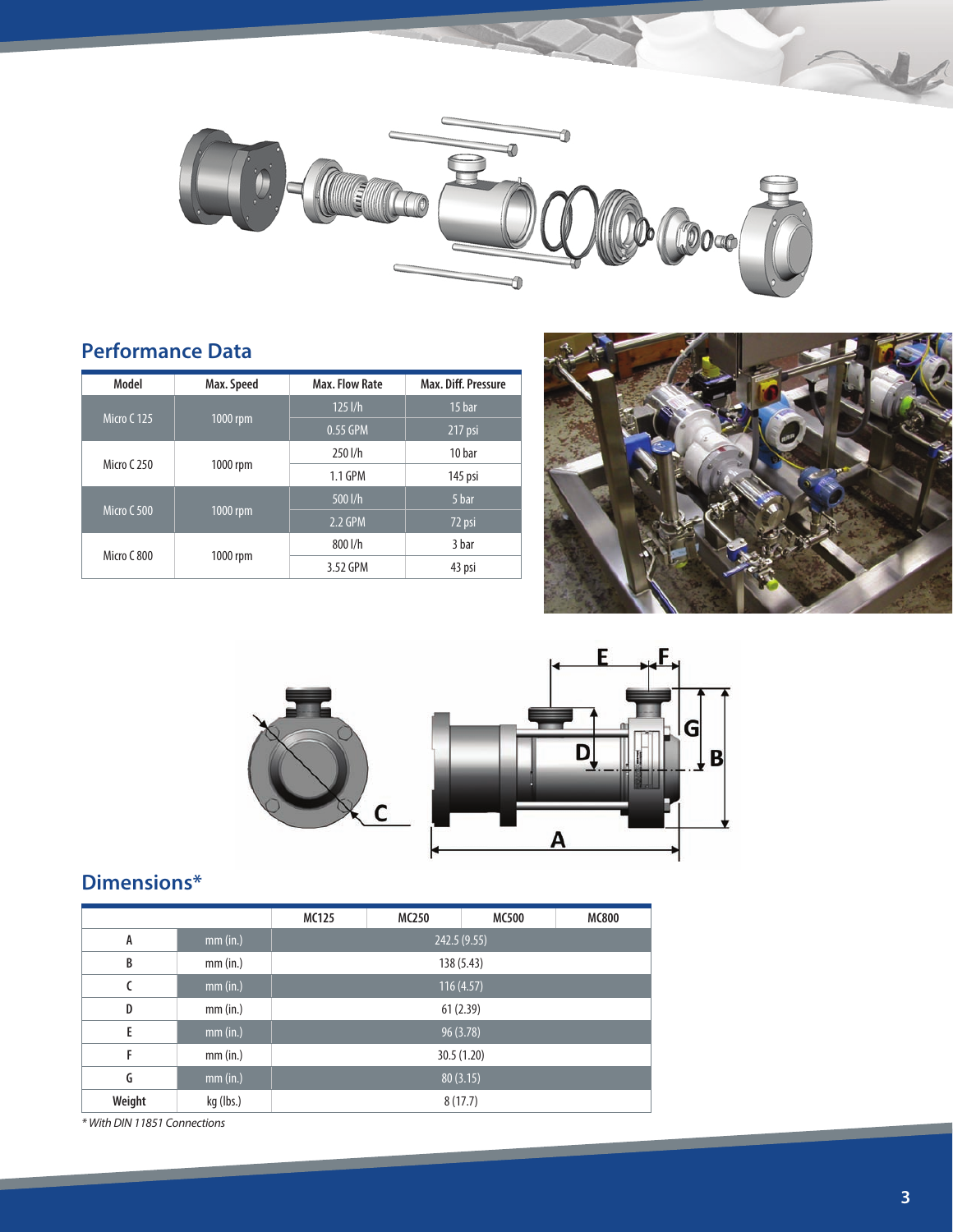

### **Performance Data**

| Model         | Max. Speed | Max. Flow Rate | Max. Diff. Pressure |
|---------------|------------|----------------|---------------------|
| Micro C 125   | $1000$ rpm | $125$ $1/h$    | 15 bar              |
|               |            | 0.55 GPM       | 217 psi             |
| Micro $C$ 250 | 1000 rpm   | 250 l/h        | 10 bar              |
|               |            | 1.1 GPM        | 145 psi             |
| Micro C 500   | $1000$ rpm | 500 l/h        | 5 bar               |
|               |            | 2.2 GPM        | 72 psi              |
| Micro C 800   | 1000 rpm   | 800 l/h        | 3 bar               |
|               |            | 3.52 GPM       | 43 psi              |





## **Dimensions\***

|        |           | MC125        | MC250 | MC500 | <b>MC800</b> |  |
|--------|-----------|--------------|-------|-------|--------------|--|
| A      | mm (in.)  | 242.5 (9.55) |       |       |              |  |
| B      | mm (in.)  | 138 (5.43)   |       |       |              |  |
| C      | mm (in.)  | 116(4.57)    |       |       |              |  |
| D      | mm (in.)  | 61(2.39)     |       |       |              |  |
| E      | mm (in.)  | 96 (3.78)    |       |       |              |  |
| F      | mm (in.)  | 30.5 (1.20)  |       |       |              |  |
| G      | mm (in.)  | 80(3.15)     |       |       |              |  |
| Weight | kg (lbs.) | 8(17.7)      |       |       |              |  |

*\* With DIN 11851 Connections*